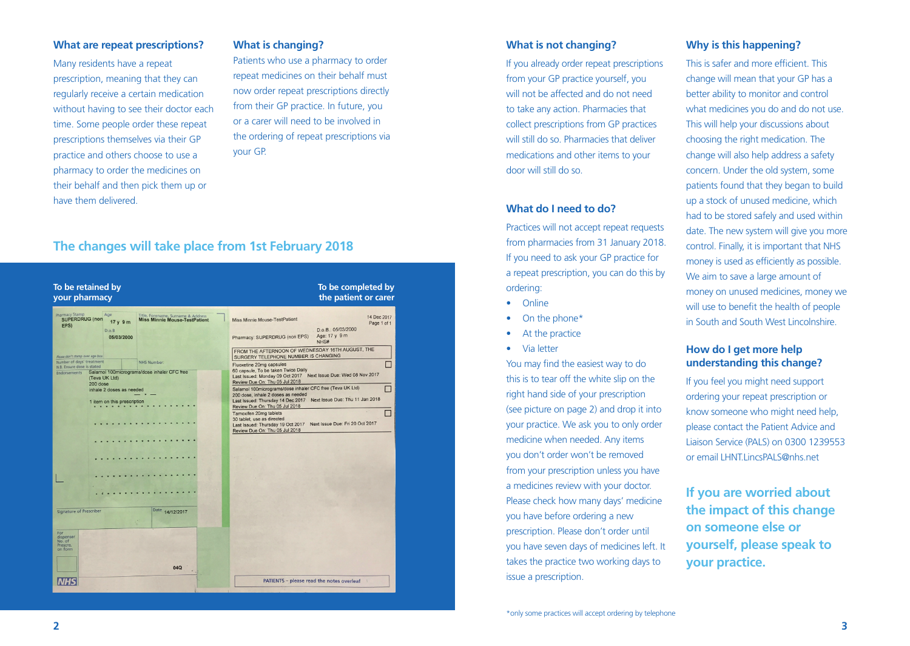#### **What are repeat prescriptions?**

Many residents have a repeat prescription, meaning that they can regularly receive a certain medication without having to see their doctor each time. Some people order these repeat prescriptions themselves via their GP practice and others choose to use a pharmacy to order the medicines on their behalf and then pick them up or have them delivered.

#### **What is changing?**

Patients who use a pharmacy to order repeat medicines on their behalf must now order repeat prescriptions directly from their GP practice. In future, you or a carer will need to be involved in the ordering of repeat prescriptions via your GP.

# **The changes will take place from 1st February 2018**



#### **What is not changing?**

If you already order repeat prescriptions from your GP practice yourself, you will not be affected and do not need to take any action. Pharmacies that collect prescriptions from GP practices will still do so. Pharmacies that deliver medications and other items to your door will still do so.

### **What do I need to do?**

Practices will not accept repeat requests from pharmacies from 31 January 2018. If you need to ask your GP practice for a repeat prescription, you can do this by ordering:

- Online
- On the phone\*
- At the practice
- Via letter

You may find the easiest way to do this is to tear off the white slip on the right hand side of your prescription (see picture on page 2) and drop it into your practice. We ask you to only order medicine when needed. Any items you don't order won't be removed from your prescription unless you have a medicines review with your doctor. Please check how many days' medicine you have before ordering a new prescription. Please don't order until you have seven days of medicines left. It takes the practice two working days to issue a prescription.

#### **Why is this happening?**

This is safer and more efficient. This change will mean that your GP has a better ability to monitor and control what medicines you do and do not use. This will help your discussions about choosing the right medication. The change will also help address a safety concern. Under the old system, some patients found that they began to build up a stock of unused medicine, which had to be stored safely and used within date. The new system will give you more control. Finally, it is important that NHS money is used as efficiently as possible. We aim to save a large amount of money on unused medicines, money we will use to benefit the health of people in South and South West Lincolnshire.

## **How do I get more help understanding this change?**

If you feel you might need support ordering your repeat prescription or know someone who might need help, please contact the Patient Advice and Liaison Service (PALS) on 0300 1239553 or email LHNT.LincsPALS@nhs.net

**If you are worried about the impact of this change on someone else or yourself, please speak to your practice.**